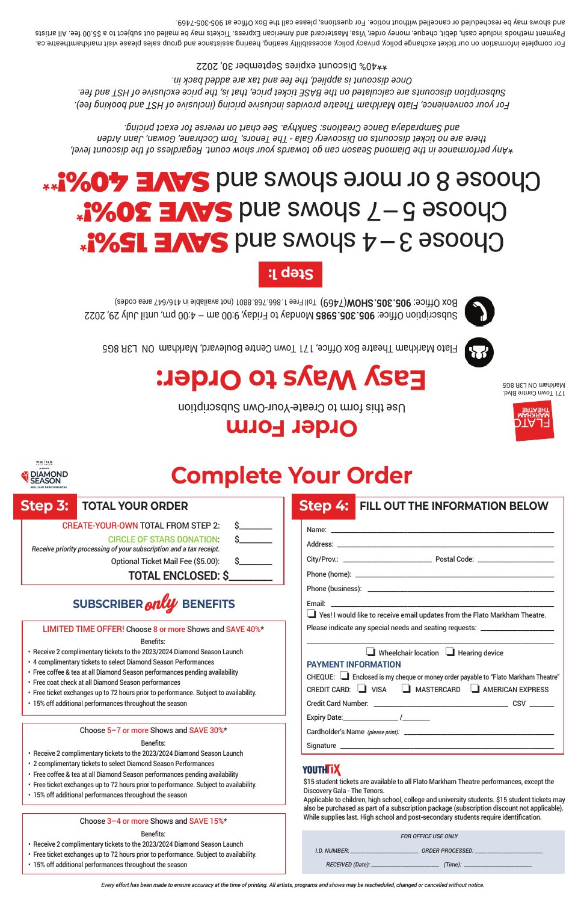| <b>FOR OFFICE USE ONLY</b> |                         |  |  |  |  |  |  |
|----------------------------|-------------------------|--|--|--|--|--|--|
| I.D. NUMBER:               | <b>ORDER PROCESSED:</b> |  |  |  |  |  |  |
| RECEIVED (Date):           | (Time):                 |  |  |  |  |  |  |

Use this form to Create-Your-Own Subscription

# **Easy Way of Sverify Ways to Order:**

Markham ON L3R 8G5

Flato Markham Theatre Box Office, 171 Town Centre Boulevard, Markham ON L3R 8G5



For complete information on our ticket exchange policy, privacy policy, accessibility seating, hearing assistance and group sales please visit markhamtheatre.ca. Payment method 32 or 30.00 fee. All and American Creative and American Express. Tickets may be mailed out subject to a \$5.00 fee. All artists and shows may be rescheduled or cancelled without notice. For questions, please call the Box Office at 905-305-7469.

- 
- 
- 
- 
- 



## Choose 3–4 shows and SWE 15%!\* \* SAVE 3 DUE SMOUS 7-8 920010 Choose 8 or more shows and swork and send the story of

*Any performance in the Diamond Season can go towards your show count. Regardless of the discount level,* \* *there are no ticket discounts on Discovery Gala - The Tenors, Tom Cochrane, Gowan, Jann Arden and Sampradaya Dance Creations: Sankhya. See chart on reverse for exact pricing.*

*For your convenience, Flato Markham Theatre provides inclusive pricing (inclusive of HST and booking fee). Subscription discounts are calculated on the BASE ticket price, that is, the price exclusive of HST and fee. Once discount is applied, the fee and tax are added back in.* 40% Discount expires September 30, 2022 \*\*

|                                                                                                                                                                                                                                                                                                                                                                                                                                                                                                                 |                                                                                                                                                                                                                | <b>Order Form</b><br>DTA 13                                                                                                                                                                                                                                                                                         |  |  |  |  |  |  |
|-----------------------------------------------------------------------------------------------------------------------------------------------------------------------------------------------------------------------------------------------------------------------------------------------------------------------------------------------------------------------------------------------------------------------------------------------------------------------------------------------------------------|----------------------------------------------------------------------------------------------------------------------------------------------------------------------------------------------------------------|---------------------------------------------------------------------------------------------------------------------------------------------------------------------------------------------------------------------------------------------------------------------------------------------------------------------|--|--|--|--|--|--|
| WEINS<br>A DIAMOND                                                                                                                                                                                                                                                                                                                                                                                                                                                                                              |                                                                                                                                                                                                                | <b>Complete Your Order</b>                                                                                                                                                                                                                                                                                          |  |  |  |  |  |  |
| <b>Step 3:</b><br>Receive priority processing of your subscription and a tax receipt.                                                                                                                                                                                                                                                                                                                                                                                                                           | <b>TOTAL YOUR ORDER</b><br><b>CREATE-YOUR-OWN TOTAL FROM STEP 2:</b><br><b>CIRCLE OF STARS DONATION:</b><br>Optional Ticket Mail Fee (\$5.00):<br><b>TOTAL ENCLOSED: \$</b><br>SUBSCRIBER <b>only</b> BENEFITS | <b>Step 4: FILL OUT THE INFORMATION BELOW</b><br>Yes! I would like to receive email updates from the Flato Markham Theatre.                                                                                                                                                                                         |  |  |  |  |  |  |
| LIMITED TIME OFFER! Choose 8 or more Shows and SAVE 40%*<br>Benefits:<br>• Receive 2 complimentary tickets to the 2023/2024 Diamond Season Launch<br>• 4 complimentary tickets to select Diamond Season Performances<br>• Free coffee & tea at all Diamond Season performances pending availability<br>• Free coat check at all Diamond Season performances<br>• Free ticket exchanges up to 72 hours prior to performance. Subject to availability.<br>• 15% off additional performances throughout the season |                                                                                                                                                                                                                | Please indicate any special needs and seating requests: ________________________<br>$\Box$ Wheelchair location $\Box$ Hearing device<br><b>PAYMENT INFORMATION</b><br>CHEQUE: Enclosed is my cheque or money order payable to "Flato Markham Theatre"<br>CREDIT CARD: VISA <b>CONTAINATER CARD</b> AMERICAN EXPRESS |  |  |  |  |  |  |
|                                                                                                                                                                                                                                                                                                                                                                                                                                                                                                                 | Choose 5-7 or more Shows and SAVE 30%*<br>Benefits:                                                                                                                                                            |                                                                                                                                                                                                                                                                                                                     |  |  |  |  |  |  |

- Receive 2 complimentary tickets to the 2023/2024 Diamond Season Launch
- 2 complimentary tickets to select Diamond Season Performances
- Free coffee & tea at all Diamond Season performances pending availability
- Free ticket exchanges up to 72 hours prior to performance. Subject to availability.
- 15% off additional performances throughout the season

Choose 3–4 or more Shows and SAVE 15%\*

## Benefits:

- Receive 2 complimentary tickets to the 2023/2024 Diamond Season Launch
- Free ticket exchanges up to 72 hours prior to performance. Subject to availability.
- 15% off additional performances throughout the season

## **YOUTHTIX**

\$15 student tickets are available to all Flato Markham Theatre performances, except the Discovery Gala - The Tenors.

Applicable to children, high school, college and university students. \$15 student tickets may also be purchased as part of a subscription package (subscription discount not applicable). While supplies last. High school and post-secondary students require identification.

*Every effort has been made to ensure accuracy at the time of printing. All artists, programs and shows may be rescheduled, changed or cancelled without notice.*